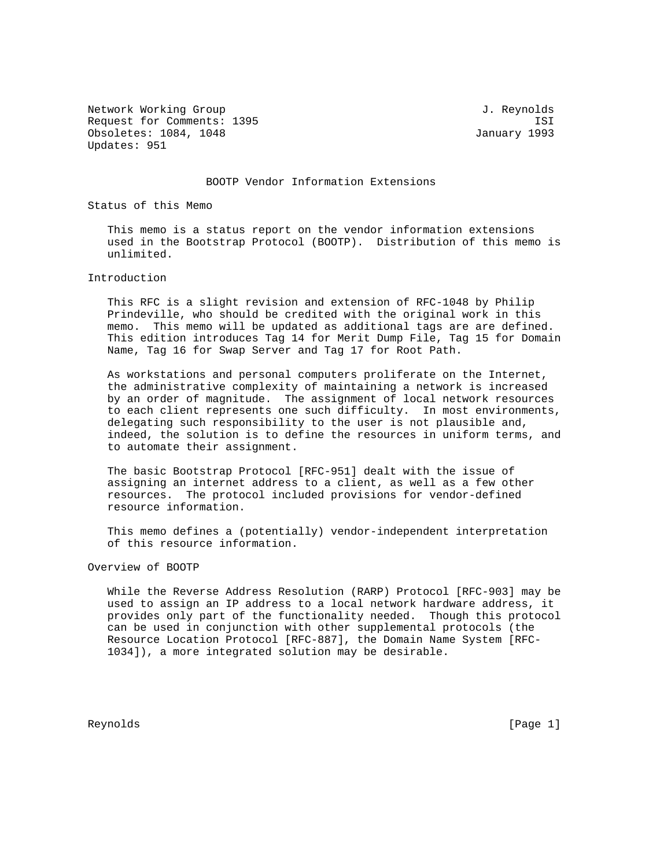Network Working Group and the settlement of the U.S. Reynolds Request for Comments: 1395 ISI Obsoletes: 1084, 1048 January 1993 Updates: 951

BOOTP Vendor Information Extensions

Status of this Memo

 This memo is a status report on the vendor information extensions used in the Bootstrap Protocol (BOOTP). Distribution of this memo is unlimited.

### Introduction

 This RFC is a slight revision and extension of RFC-1048 by Philip Prindeville, who should be credited with the original work in this memo. This memo will be updated as additional tags are are defined. This edition introduces Tag 14 for Merit Dump File, Tag 15 for Domain Name, Tag 16 for Swap Server and Tag 17 for Root Path.

 As workstations and personal computers proliferate on the Internet, the administrative complexity of maintaining a network is increased by an order of magnitude. The assignment of local network resources to each client represents one such difficulty. In most environments, delegating such responsibility to the user is not plausible and, indeed, the solution is to define the resources in uniform terms, and to automate their assignment.

 The basic Bootstrap Protocol [RFC-951] dealt with the issue of assigning an internet address to a client, as well as a few other resources. The protocol included provisions for vendor-defined resource information.

 This memo defines a (potentially) vendor-independent interpretation of this resource information.

Overview of BOOTP

 While the Reverse Address Resolution (RARP) Protocol [RFC-903] may be used to assign an IP address to a local network hardware address, it provides only part of the functionality needed. Though this protocol can be used in conjunction with other supplemental protocols (the Resource Location Protocol [RFC-887], the Domain Name System [RFC- 1034]), a more integrated solution may be desirable.

Reynolds [Page 1]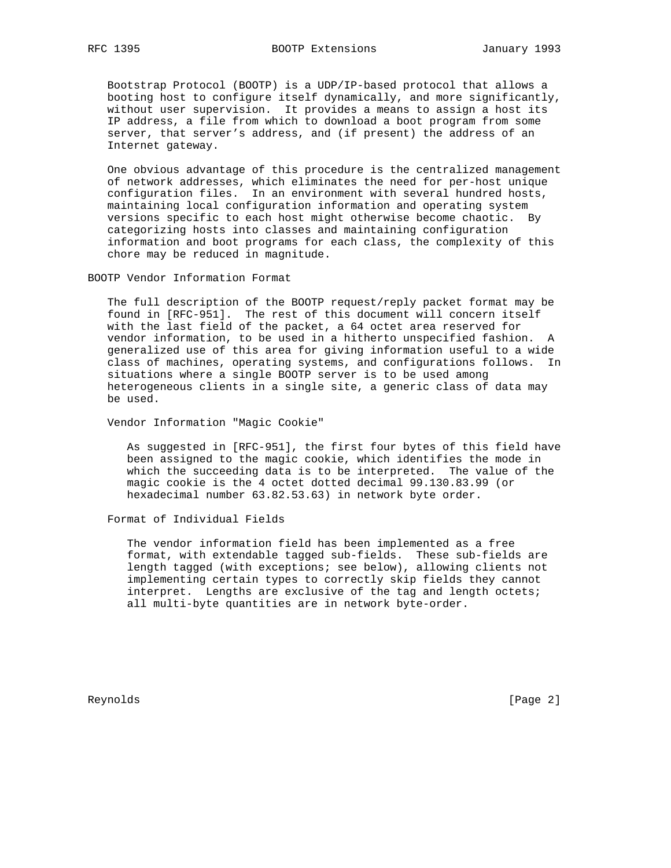Bootstrap Protocol (BOOTP) is a UDP/IP-based protocol that allows a booting host to configure itself dynamically, and more significantly, without user supervision. It provides a means to assign a host its IP address, a file from which to download a boot program from some server, that server's address, and (if present) the address of an Internet gateway.

 One obvious advantage of this procedure is the centralized management of network addresses, which eliminates the need for per-host unique configuration files. In an environment with several hundred hosts, maintaining local configuration information and operating system versions specific to each host might otherwise become chaotic. By categorizing hosts into classes and maintaining configuration information and boot programs for each class, the complexity of this chore may be reduced in magnitude.

BOOTP Vendor Information Format

 The full description of the BOOTP request/reply packet format may be found in [RFC-951]. The rest of this document will concern itself with the last field of the packet, a 64 octet area reserved for vendor information, to be used in a hitherto unspecified fashion. A generalized use of this area for giving information useful to a wide class of machines, operating systems, and configurations follows. In situations where a single BOOTP server is to be used among heterogeneous clients in a single site, a generic class of data may be used.

Vendor Information "Magic Cookie"

 As suggested in [RFC-951], the first four bytes of this field have been assigned to the magic cookie, which identifies the mode in which the succeeding data is to be interpreted. The value of the magic cookie is the 4 octet dotted decimal 99.130.83.99 (or hexadecimal number 63.82.53.63) in network byte order.

Format of Individual Fields

 The vendor information field has been implemented as a free format, with extendable tagged sub-fields. These sub-fields are length tagged (with exceptions; see below), allowing clients not implementing certain types to correctly skip fields they cannot interpret. Lengths are exclusive of the tag and length octets; all multi-byte quantities are in network byte-order.

Reynolds [Page 2]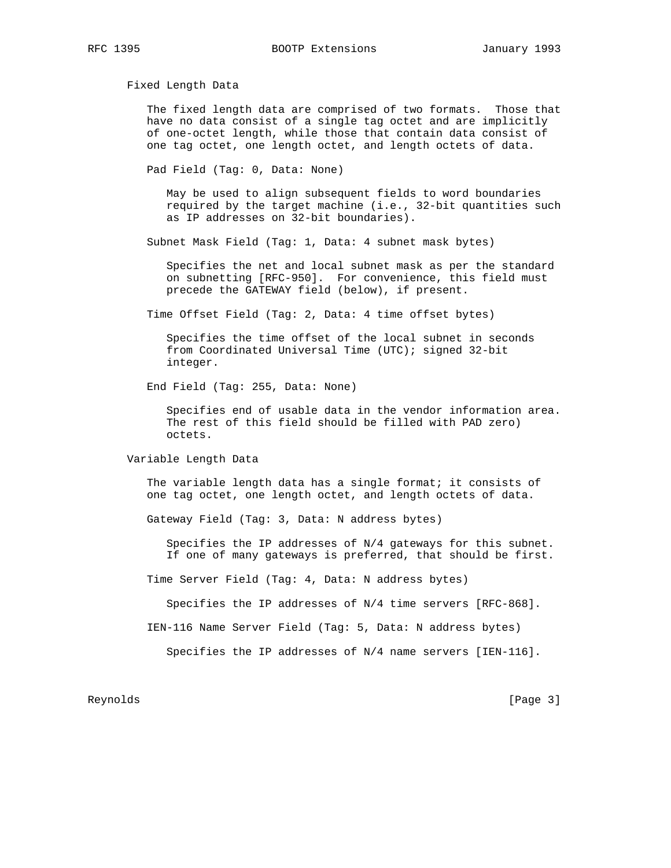Fixed Length Data

 The fixed length data are comprised of two formats. Those that have no data consist of a single tag octet and are implicitly of one-octet length, while those that contain data consist of one tag octet, one length octet, and length octets of data.

Pad Field (Tag: 0, Data: None)

 May be used to align subsequent fields to word boundaries required by the target machine (i.e., 32-bit quantities such as IP addresses on 32-bit boundaries).

Subnet Mask Field (Tag: 1, Data: 4 subnet mask bytes)

 Specifies the net and local subnet mask as per the standard on subnetting [RFC-950]. For convenience, this field must precede the GATEWAY field (below), if present.

Time Offset Field (Tag: 2, Data: 4 time offset bytes)

 Specifies the time offset of the local subnet in seconds from Coordinated Universal Time (UTC); signed 32-bit integer.

End Field (Tag: 255, Data: None)

 Specifies end of usable data in the vendor information area. The rest of this field should be filled with PAD zero) octets.

Variable Length Data

The variable length data has a single format; it consists of one tag octet, one length octet, and length octets of data.

Gateway Field (Tag: 3, Data: N address bytes)

 Specifies the IP addresses of N/4 gateways for this subnet. If one of many gateways is preferred, that should be first.

Time Server Field (Tag: 4, Data: N address bytes)

Specifies the IP addresses of N/4 time servers [RFC-868].

IEN-116 Name Server Field (Tag: 5, Data: N address bytes)

Specifies the IP addresses of N/4 name servers [IEN-116].

Reynolds [Page 3]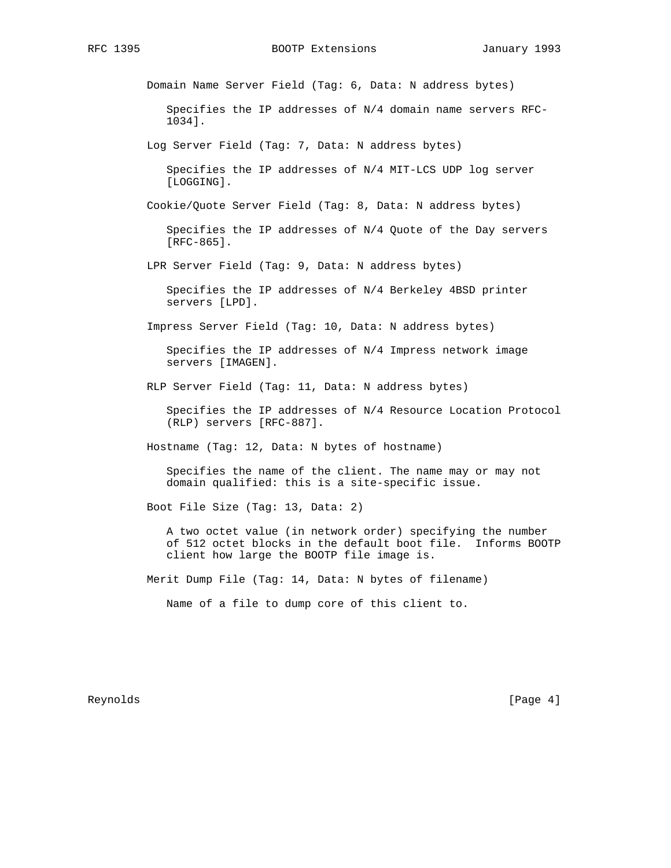RFC 1395 BOOTP Extensions January 1993

Domain Name Server Field (Tag: 6, Data: N address bytes)

 Specifies the IP addresses of N/4 domain name servers RFC- 1034].

Log Server Field (Tag: 7, Data: N address bytes)

 Specifies the IP addresses of N/4 MIT-LCS UDP log server [LOGGING].

Cookie/Quote Server Field (Tag: 8, Data: N address bytes)

 Specifies the IP addresses of N/4 Quote of the Day servers [RFC-865].

LPR Server Field (Tag: 9, Data: N address bytes)

 Specifies the IP addresses of N/4 Berkeley 4BSD printer servers [LPD].

Impress Server Field (Tag: 10, Data: N address bytes)

 Specifies the IP addresses of N/4 Impress network image servers [IMAGEN].

RLP Server Field (Tag: 11, Data: N address bytes)

 Specifies the IP addresses of N/4 Resource Location Protocol (RLP) servers [RFC-887].

Hostname (Tag: 12, Data: N bytes of hostname)

 Specifies the name of the client. The name may or may not domain qualified: this is a site-specific issue.

Boot File Size (Tag: 13, Data: 2)

 A two octet value (in network order) specifying the number of 512 octet blocks in the default boot file. Informs BOOTP client how large the BOOTP file image is.

Merit Dump File (Tag: 14, Data: N bytes of filename)

Name of a file to dump core of this client to.

Reynolds [Page 4]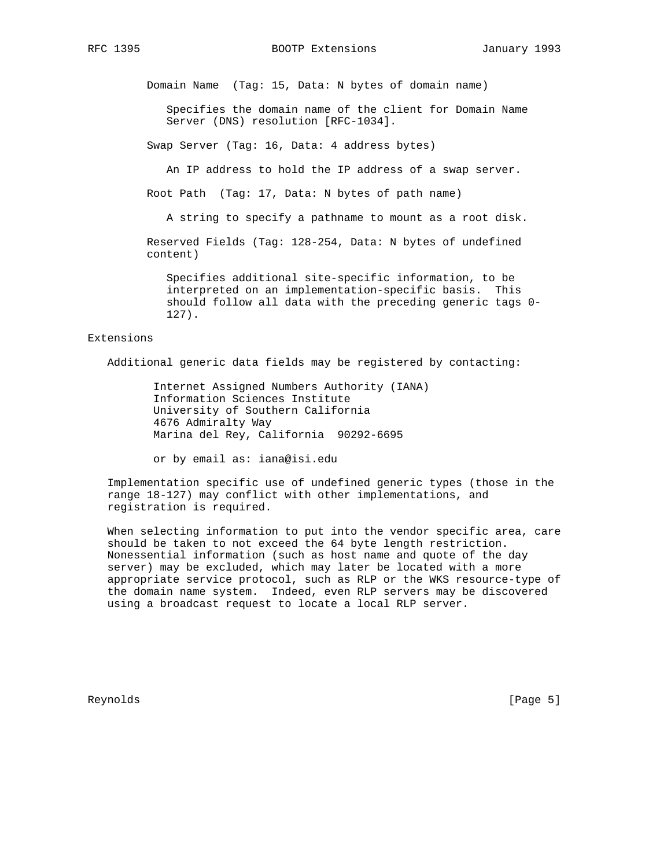Domain Name (Tag: 15, Data: N bytes of domain name)

 Specifies the domain name of the client for Domain Name Server (DNS) resolution [RFC-1034].

Swap Server (Tag: 16, Data: 4 address bytes)

An IP address to hold the IP address of a swap server.

Root Path (Tag: 17, Data: N bytes of path name)

A string to specify a pathname to mount as a root disk.

 Reserved Fields (Tag: 128-254, Data: N bytes of undefined content)

 Specifies additional site-specific information, to be interpreted on an implementation-specific basis. This should follow all data with the preceding generic tags 0- 127).

# Extensions

Additional generic data fields may be registered by contacting:

 Internet Assigned Numbers Authority (IANA) Information Sciences Institute University of Southern California 4676 Admiralty Way Marina del Rey, California 90292-6695

or by email as: iana@isi.edu

 Implementation specific use of undefined generic types (those in the range 18-127) may conflict with other implementations, and registration is required.

 When selecting information to put into the vendor specific area, care should be taken to not exceed the 64 byte length restriction. Nonessential information (such as host name and quote of the day server) may be excluded, which may later be located with a more appropriate service protocol, such as RLP or the WKS resource-type of the domain name system. Indeed, even RLP servers may be discovered using a broadcast request to locate a local RLP server.

Reynolds [Page 5]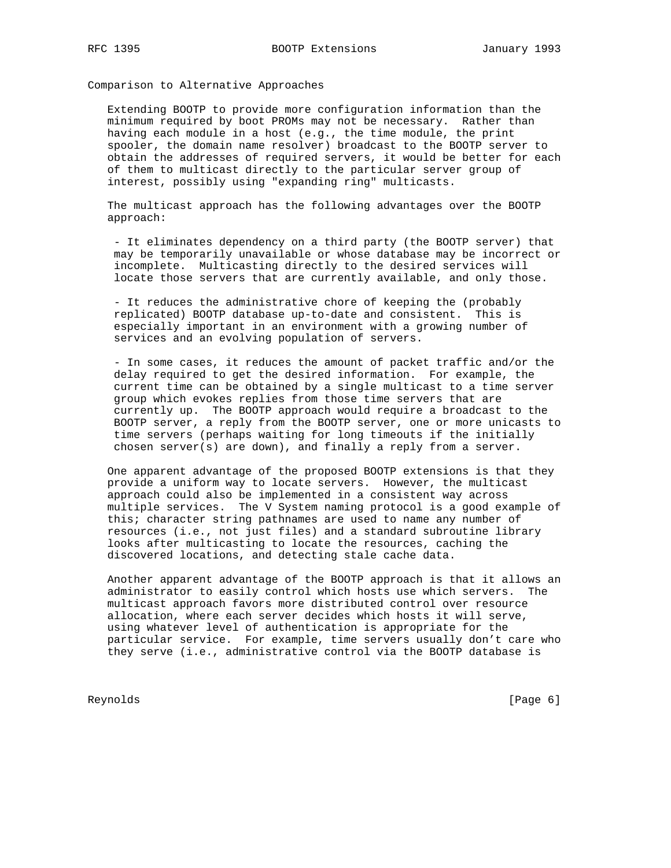Comparison to Alternative Approaches

 Extending BOOTP to provide more configuration information than the minimum required by boot PROMs may not be necessary. Rather than having each module in a host (e.g., the time module, the print spooler, the domain name resolver) broadcast to the BOOTP server to obtain the addresses of required servers, it would be better for each of them to multicast directly to the particular server group of interest, possibly using "expanding ring" multicasts.

 The multicast approach has the following advantages over the BOOTP approach:

 - It eliminates dependency on a third party (the BOOTP server) that may be temporarily unavailable or whose database may be incorrect or incomplete. Multicasting directly to the desired services will locate those servers that are currently available, and only those.

 - It reduces the administrative chore of keeping the (probably replicated) BOOTP database up-to-date and consistent. This is especially important in an environment with a growing number of services and an evolving population of servers.

 - In some cases, it reduces the amount of packet traffic and/or the delay required to get the desired information. For example, the current time can be obtained by a single multicast to a time server group which evokes replies from those time servers that are currently up. The BOOTP approach would require a broadcast to the BOOTP server, a reply from the BOOTP server, one or more unicasts to time servers (perhaps waiting for long timeouts if the initially chosen server(s) are down), and finally a reply from a server.

 One apparent advantage of the proposed BOOTP extensions is that they provide a uniform way to locate servers. However, the multicast approach could also be implemented in a consistent way across multiple services. The V System naming protocol is a good example of this; character string pathnames are used to name any number of resources (i.e., not just files) and a standard subroutine library looks after multicasting to locate the resources, caching the discovered locations, and detecting stale cache data.

 Another apparent advantage of the BOOTP approach is that it allows an administrator to easily control which hosts use which servers. The multicast approach favors more distributed control over resource allocation, where each server decides which hosts it will serve, using whatever level of authentication is appropriate for the particular service. For example, time servers usually don't care who they serve (i.e., administrative control via the BOOTP database is

Reynolds [Page 6]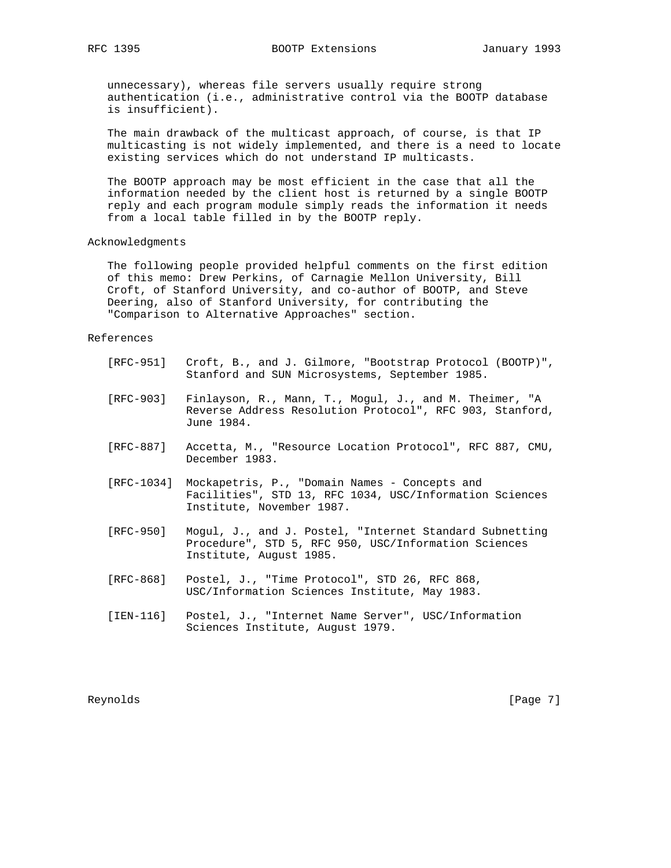unnecessary), whereas file servers usually require strong authentication (i.e., administrative control via the BOOTP database is insufficient).

 The main drawback of the multicast approach, of course, is that IP multicasting is not widely implemented, and there is a need to locate existing services which do not understand IP multicasts.

 The BOOTP approach may be most efficient in the case that all the information needed by the client host is returned by a single BOOTP reply and each program module simply reads the information it needs from a local table filled in by the BOOTP reply.

#### Acknowledgments

 The following people provided helpful comments on the first edition of this memo: Drew Perkins, of Carnagie Mellon University, Bill Croft, of Stanford University, and co-author of BOOTP, and Steve Deering, also of Stanford University, for contributing the "Comparison to Alternative Approaches" section.

### References

- [RFC-951] Croft, B., and J. Gilmore, "Bootstrap Protocol (BOOTP)", Stanford and SUN Microsystems, September 1985. [RFC-903] Finlayson, R., Mann, T., Mogul, J., and M. Theimer, "A Reverse Address Resolution Protocol", RFC 903, Stanford, June 1984. [RFC-887] Accetta, M., "Resource Location Protocol", RFC 887, CMU, December 1983. [RFC-1034] Mockapetris, P., "Domain Names - Concepts and Facilities", STD 13, RFC 1034, USC/Information Sciences Institute, November 1987. [RFC-950] Mogul, J., and J. Postel, "Internet Standard Subnetting Procedure", STD 5, RFC 950, USC/Information Sciences Institute, August 1985.
- [RFC-868] Postel, J., "Time Protocol", STD 26, RFC 868, USC/Information Sciences Institute, May 1983.
- [IEN-116] Postel, J., "Internet Name Server", USC/Information Sciences Institute, August 1979.

Reynolds [Page 7]